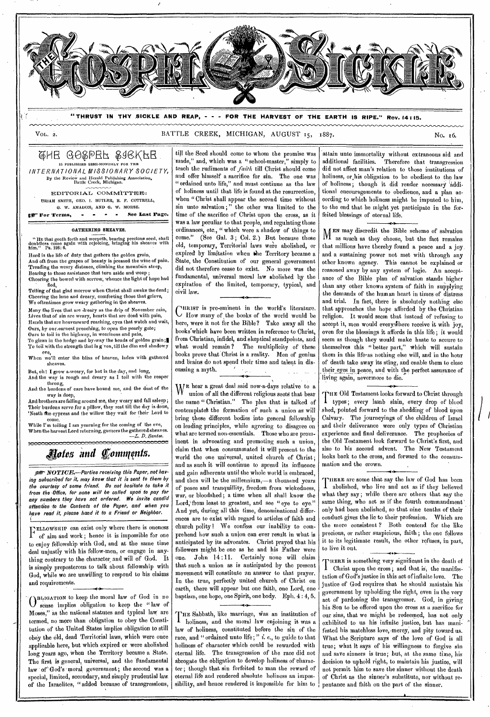

**"THRUST** '**IN THY SICKLE AND REAP, - - - FOR THE HARVEST OF THE EARTH IS RIPE." Rev. 14 : 15.** 

VOL. 2. BATTLE CREEK, MICHIGAN, AUGUST 15, 1887.

QHE GO&DEF & GRKFE IS PUBLISHED SEMI-MONTHLY FOR THE *INTERNATIONAL, MISSIONARY SOCIETY,*  By the Review and Herald Publishing Association, Battle Creek, Michigan.

EDITORIAL COMMITTEE: URIAH SMITH, GEO. I. BUTLER, R. F. COTTRELL, *G.* W. AMADON, AND G. W. MORSE.

py For Terms, - - - - See Last Page.

#### GATHERING SHEAVES.

" HE that goeth forth and weepeth, bearing precious seed, shall doubtless come again with rejoicing, bringing his sheaves with hlin." Ps. 126:6.

Hard is the life of duty that gathers the golden grain, And oft from the grapes of beauty is pressed the wine of pain. Treading the weary distance, climbing the mountain steep, Bearing to those assistance that turn aside and weep Cheering the bowed with sorrow, whence the light of hope had

fled, Telling of that glad morrow when Christ shall awake the dead; Cheering the lone and dreary, comforting those that grieve, We oftentimes grow weary gathering in the sheaves.

Many the lives that are dreary as the drip of November rain, Lives that of sin are weary, hearts that are dead with pain, Hands that are heavenward reaching, eyes that watch and wait, Ours, by our.earnest preaching, to open the pearly gate;

Ours to toil in the highway, in weariness and pain, To glean in the hedge and by-way the heads of golden grain

To toil with the strength that is g ven, till the dim and shadowy eve, When we'll enter the bliss of heaven, laden with gathered

sheaves.

But, oh! I grow a-weary, for hot is the day, and long, And the way is rough and dreary as I toil with the reaper throng,

And the burdens of care have bound me, and the dust of the way is deep,

And brothers are falling around me, they weary and fall asleep; Their burdens serve for a pillow, they rest till the day is do 'Neath the cypress and the willow they wait for their Lord to come.

While I'm toiling I am yearning for the coming of the eve, When the harvest Lord returning, garners the gathered sheaves. *—I, D. Santee.* 

# *Hotes and Comments.*

per NOTICE.-Parties receiving this Paper, not having subscribed for it, may know that it is sent to them by the courtesy of some friend. Do not hesitate to take it from the• Office, for none will be called upon to pay for any numbers they have not ordered. We invite candid attention to the Contents of the Paper, and when you have read it, please hand it to a Friend or Neighbor.

F ELLOWSHIP can exist only where there is oneness of aim and work; hence it is impossible for one to enjoy fellowship with God, and at the same time deal unjustly with his fellow-men, or engage in anything contrary to the character and will of God. It is simply preposterous to talk about fellowship with God, while we are unwilling to respond to his claims and requirements.

• "0 III4OATION to keep the moral law of God in no sense implies obligation to keep the " law of Moses," as the national statutes and typical law are termed, no more than obligation to obey the Constitution of the United States implies obligation to still obey the old, dead Territorial laws, which were once applicable here, but which expired or were abolished long years ago, when the Territory became a State. The first is general, universal, and the 'fundamental law of God's moral government; the second was a special, limited, secondary, and simply prudential law, of the Israelites, " added because of transgressions,

till the Seed should come to whom the promise was made," and, which was a "school-master," simply to teach the rudiments of *faith* till Christ should come and offer himself a sacrifice for sin. The one was " ordained unto life," and must continue as the law of holiness until that life is found at the resurrection, when " Christ shall appear the second time without sin unto salvation ; " the other was limited to the time of the sacrifice of Christ upon the cross, as it was a law peculiar to that people, and regulating those ordinances, etc., " which were a shadow of things to come." (See Gal. 3; Col. 2.) But because those old, temporary, Territorial laws were abolished, or expired by limitation when the Territory became a State, the Constitution of our general government did not therefore cease to exist. No more was the fundamental, universal moral law abolished by the expiration of the limited, temporary, typical, and civil law.

C HRIST is pre-eminent in the world's literature. How many of ,the books of the world would be here, were it not for the Bible? Take away all the books which have been written in reference to Christ. from Christian, infidel, and skeptical standpoints, and what would remain? The multiplicity of these books prove that Christ is a reality. Men of genius and brains do not spend their time and talent in discussing a myth.

W E hear a great deal said now-a-days relative to a union of all the different religious sects that bear the name " Christian." The plan that is talked of contemplatek the formation of such a union as will bring these different bodies into general fellowship on leading principles, while agreeing to disagree on what are termed non-essentials. Those who are prominent in advocating and promoting such a union, claim that when consummated it will present to the world the one universal, united church of Christ; and as such it will continue to spread its influence and gain adherents until the whole world is embraced, and then will be the millennium,—a thousand years of peace and tranquillity, freedom from wickedness, war, or bloodshed; a time when all shall know the Lord, from least to greatest, and see "eye to eye." And yet, during all this time, denominational differences are to exist with regard to articles of faith and church polity ! We confess our inability to comprehend how such a union can ever result in what is anticipated by its advocates. Christ prayed that his followers might be one as he and his Father were one. John 14 :11. Certainly none will claim that such a union as is anticipated by the present movement will constitute an answer to that prayer. In the true, perfectly united church of Christ on earth, there will appear but one faith, one Lord, one baptism, one hope, one Spirit, one body. Eph. 4 : 4, 5.

THE Sabbath, like marriage, was an institution of<br>I holiness, and the moral law enjoining it was a holiness, and the moral law enjoining it was a law of holiness, constituted before the sin of the race, and " ordained unto life; " i. e., to guide to that holiness of character which could be rewarded with eternal life. The transgression of the race did not abrogate the obligation to develop holiness of 'character ; though that sin forfeited to man the reward of eternal life and rendered absolute holiness an impossibility, and hence rendered it impossible for him to

attain unto immortality without extraneous aid and Therefore that transgression did not affect man's relation to those institutions of holiness, or,his obligation to be obedient to the law of holiness ; though it did render necessary 'additional encouragements to obedience, and a plan according to which holiness might be imputed to him, to the end that he might yet participate in the forfeited blessings of eternal life.

EN may discredit the Bible scheme of salvation VI as much as they choose, but the fact remains that millions have thereby found a peace and a joy. and a sustaining power not met with through any other known agency. This cannot be explained or reasoned away by any system of logic. An acceptance of the Bible plan of salvation stands higher than any other known system of faith in supplying the demands of the human heart in times of distress and trial. In fact, there is absolutely nothing else that approaches the hope afforded by the Christian religion. It would seem that instead of refusing to accept it, men would everywhere receive it with joy, even for the blessings it affords in this life; it would seem as though they would make haste to secure to themselves this " better part," which will sustain them in this life-as nothing else will, and in the hour of death take away its sting, and enable them to close their eyes in peace, and with the perfect assurance of living again, nevermore to die.

I.HE Old Testament looks forward to Christ through types ; every Iamb slain, every drop of blood shed, pointed forward to the shedding of blood upon Calvary. The journeyings of the children of Israel and their deliverance were only types of Christian experience and final deliverance. The prophecies of the Old Testament look forward to Christ's first, and also to his second advent. The New Testament looks back to the cross, and forward to the consummation and the crown.

T HERE are some that say the law of God has been abolished, who live and act as if they believed what they say ; while there are others that say the same thing, who act as if the fourth commandment' only had been abolished, so that nine tenths of their conduct gives the lie to their profession. Which are the more consistent ? Both contend for the like precious, or rather suspicious, faith ; the one follows it to its legitimate result, the other refuses, in part, to live it out.

HERE is something very significant in the death of THERE is something very significant in the death of<br>T Christ upon the cross; and that is, the manifes-Christ upon the cross; and that is, the manifestation of God's justice in this act of infinite love. The justice of God requires that he should maintain his government by upholding the right, even in the very act of pardoning the transgressor. God, in giving his Son to be offered upon the cross as a sacrifice for our sins, that we might be redeemed, has not only. exhibited to us his infinite justice, but has manifested his matchless love, mercy, and pity toward us. What the Scripture says of the love of God is all true; what it says of his willingness to forgive sin and save sinners is true; but, at the same time, his decision to uphold right, to maintain his justice, will not permit him to save the sinner without the death of Christ as the sinner's substitute, nor without repentance and faith on the part of the sinner.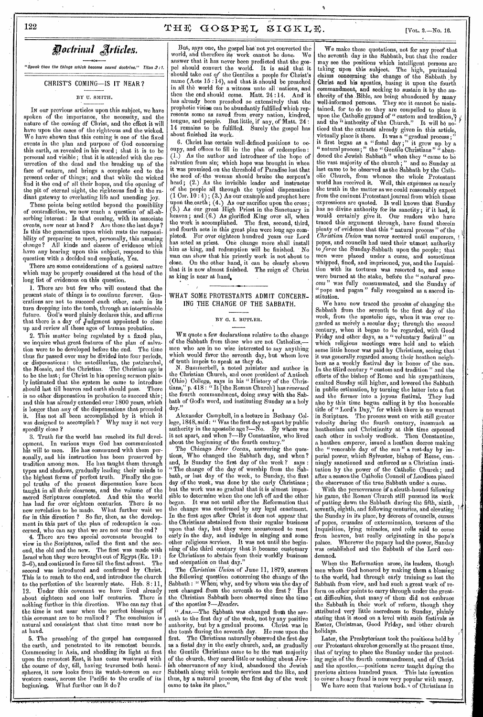Doctrinal Articles.

" *<sup>S</sup>*peak thou the things which become sound doctrine." Titus.2 *:1,* 

CHRIST'S COMING—IS IT NEAR?

BY U. SMITH.

IN our previous articles upon this subject, we have spoken -of the importance, the necessity, and the nature of the coming of Christ, and the effect it will have upon the cases of the righteous and the wicked. We have shown that this coming is one of the fixed events in the plan and purpose of God concerning this earth, as revealed in his word ; that it is to be personal and visible ; that it is attended with the resurrection of the dead and the breaking up of the face of nature, and brings a complete end to the present order of things; and that while the wicked find it the end of all their hopes, and the opening of the pit of eternal night, the righteous find• it the radiant gateway to everlasting life and unending joy.

These points being settled beyond the possibility of contradiction, we now reach a question 'of all-absorbing interest: Is that coming, with its associate events, now near at band ? Are these the last days ? Is this the generation upon which rests the responsibility of preparing to meet, personally, this amazing change? All kinds and classes of evidence which All kinds and classes of evidence which have any bearing upon this subject, respond to this question with a decided and emphatic, Yes.

There are some considerations of a general nature which may be properly -considered at the head of the long list of evidences on this question.

1. There are but few who will contend that the present state of things is to continue forever. Generations are not to succeed each other, each in its turn dropping into the tomb, through an interminable future. God's word plainly declares this, and affirms that there is a day of Judgment appointed to close up and review all these ages of human probation.

2. This matter being regulated by a fixed plan, we inquire what great features of the plan of salvation were to be developed before the end. The time thus far passed over may be divided into four periods, or dispensations : the antediluvian, the patriarchal, the Mosaic, and the Christian. The Christian age is to be the last; for Christ in his opening sermon plainly intimated that the system he came to introduce should last till heaven and earth should pass. is no other dispensation in probation to succeed this; and this has already extended over 1800 years, which is longer than .any of the dispensations that preceded it. Has not all been accomplished by it which it was designed to accomplish? Why may it not very speedily close ?

3. Truth for the world has reached its full development. In various ways God has communicated<br>his will to men. He has communed with them per-He has communed with them personally, and his instruction has been preserved by tradition among men. He has taught them through types and shadows, gradually leading their minds to the highest forms of perfect truth. Finally the gospel truths of the present dispensation, have 'been taught in all their clearness, and the volume of the sacred Scriptures completed. And this the world has had for over eighteen centuries. There is no has had for over eighteen centuries. There is no new revelation to be made. What further wait we for in this direction ? So far, then, as the development in this part of the plan of redemption is concerned, who can say that we are not near the end ?

4. There are two special covenants brought to view in the Scriptures, called the first and the sec-<br>ond, the old and the new. The first was made with The first was made with Israel when they were brought out of Egypt (Ex. 19 : 3-6), and continued in force till the first advent. second was introduced and confirmed by Christ. This is to reach to the end, and introduce the church to the perfection of the heavenly state. Heb. 8:11<br>12. Under this covenant we have lived already Under this covenant we have lived already about eighteen and one half centuries. There is nothing further in this direction. Who can say that the time is not near when the perfect blessings of this covenant are to be realized ? The conclusion is natural and consistent that that time must now be at hand.

5. The preaching of the gospel has compassed the earth, and penetrated to its remotest bounds. Commencing in Asia, and shedding its light at first upon the remotest East, it has come westward with the course of day, till, having traversed both hemispheres, it now looks from its watch-towers on our western coast, across the Pacific to the cradle of its beginning. What further can it do?

But, says one, the gospel has not yet converted the world, and therefore its work cannot be done. We answer that it has never been predicted that the gospel should convert the world. It is said that it should take *out of* the Gentiles a people for Christ's name (Acts 15 : 14), and that it should be preached in all the world for a witness unto all 'nations, and then the end should come. Matt. 24 :14. And it has already been preached so extensively that the prophetic vision can be abundantly fulfilled which represents some as saved from every nation, kindred,<br>tongue, and people. But little, if any, of Matt. 24 : tongue, and people. But little, if any, of Matt. 24:<br>14 remains to be fulfilled. Surely the gospel has about finished its work.

6. Christ has certain well-defined positions to occupy, and offices to fill in the plan of redemption : (.1.) As the author and introducer of the hope of salvation from sin; which hope was brought in when it was promised.on the threshold of Paradise lost that the seed of the woman should bruise the serpent's head; (2.) As the invisible leader and instructor of the people all through the typical dispensation  $(1 \text{ Cor. } 10 \cdot 4)$ ;  $(3.)$  As our example and prophet here upon the earth;  $(4.)$  As our sacrifice upon the cross; (5.) As our great High Priest in the Sanctuary in heaven; and  $(6.)$  As glorified King over all, when the work is accomplished. The first, second, third, and fourth acts in this great plan were long ago completed. For over eighteen hundred years our Lord has acted as priest. One change more shall install him as • king, and redemption will be finished. . No man can show that his priestly work is not'about to close. On the other hand, it can be clearly shown that it is now almost finished. The reign of Christ as king is near at hand.

#### WHAT SOME PROTESTANTS ADMIT CONCERN-ING THE CHANGE OF THE SABBATH.

#### BY G. I. BUTLER.

WE quote a few declarations relative to the change of the Sabbath from those who are not Catholics men who are in no wise interested to say anything which would favor the seventh day, but whom love of truth impels to speak as they do.<br>N. Summerbell, a noted minister and author in

the Christian Church, and once president of Antioch (Ohio) College; says in his "History of the Christians," p. 418: " It [the Roman Church] has *reversed*  the fourth commandment, doing away with the Sabbath of God's word, and instituting Sunday as a holy  $\text{day.}''$ 

Alexander Campbell, in a lecture in Bethany College, 1848, said : " Was the first day set apart by public authority in the apostolic age ?—No. By whom was it set apart, and when ?--By Constantine, who lived about the beginning of the fourth century.

The Chicago *Inter Ocean,* answering the questions, Who changed the Sabbath day, and when? tions, Who changed the Sappatn day, and navalismed, Is Sunday the first day of the week? says : "The change of the day of worship from the Sabbath, or last day.of the week, to Sunday, the first day of the week, was done by the early Christians ; but the work was so gradual that it is almost impossible to determine when the one left off and the other began. It was not until after the Reformation that the change was confirmed by any legal enactment. In the first ages after Christ it does not appear that the Christians abstained from their regular business upon that day, but they were accustomed to meet erly in the day, and indulge in singing and some other religious services, It was not until the beginning of the third century that it became customary for Christians to abstain from their worldly business and occupation on that day.'

The *Christian Union* of June 11, 1879, answers the' following question concerning the change of the Sabbath : " When, why, and by whom was the day of rest changed from the seventh to the first? Has the. Christian Sabbath been observed since the time of the apostles *?—Reader.* 

" *Ans.*—The Sabbath was changed from the seventh to the first day of the Week, not by any positive authority, but by a gradual process. Christ was in the tomb during the seventh day. He rose upon the first. The Christians naturally observed the first day as a festal day in the early church, and, as gradually the Gentile Christians came to be the vast majority of the church, they cared little or nothing about Jewish observances of any kind, abandoned the Jewish Sabbath along with temple services and the like, and thus, by a natural process; the first day of the week came to take its place."

We make these quotations, not for any proof that the seventh day is the Sabbath, but that the reader may see the positions which intelligent persons are taking upon this subject, The high, puritanical claims concerning the change of the Sabbath by Christ and his apostles, basing it upon the fourth commandment, and seeking to sustain it by the authority of the Bible, are being abandoned by many well-informed persons. They see it cannot be main-They see it cannot be maintained, for to do so they are compelled to place it upon the Catholic ground of " custom and tradition,"  $\frac{1}{r}$ <br>and the " authority of the Church." It will be noticed that the extracts already given in this article, virtually place it there. It was a "gradual process;" it first began as a "festal day;" it grew up by a " natural process; " the " Gentile Christians "  $\ddot{a}$  abandoned the Jewish Sabbath " when they " came to be the vast majority of the church ; " and so Sunday at last came to be observed as the, Sabbath by the Catholic Church, from whence the whole Protestant world has received it. Well, this expresses as nearly the truth in the matter as we could reasonably expect from the eminent Protestant journal from which these expressions are quoted. It well knows that Sunday has no divine authority for its sanctity; if it had, it would certainly give it. Our readers who have traced this argument through, have found therein plenty of evidence that this " natural process " of the *Christian Union* was never secured until emperors, popes, and councils had used their utmost authority to *force* the Sunday-Sabbath upon the people; that men were placed under a curse, and sometimes whipped, fined, and imprisoned, yes, and the Inquisition with its tortures was resorted to, and some were burned at the stake, before the *"natural process"* was fully consummated, and the Sunday of " pope and pagan " fully recognized as a sacred institution.

We have now traced the procdss of changing the Sabbath from the seventh to the first day of the week, from the apostolic age, when it was ever regarded as merely a secular day; through the second century, when it began to be regarded, with Good Friday and other days, as a "voluntary festival" on which religious meetings were held and to which some little honor was paid by Christians, seeing. that ' it was generally. regarded among their heathen neighbors as a weekly festival day in' honor of the sun. In the third century " custom and tradition " and the efforts of the bishop of Rome and his sympathizers, . exalted Sunday still higher, and lowered the Sabbath in public estimation, by turning the latter into a fast and the former into a joyous festival. They had also by this 'time begun calling it by the honorable title of " Lord's Day," for which there is no warrant in Scripture. The process went on with still greater velocity during the fourth century, inasmuch as heathenism and Christianity at this time espoused each other in unholy wedlock. Then Constantine, a heathen emperor, issued a heathen decree making the "venerable day of the sun" a rest-day by imperial power, which Sylvester, bishop of Rome, cunningly sanctioned and enforced as a Christian institution by the power of' the Catholic Church ; and after a season the Catholic Council of Labdicea, placed the observance of the true Sabbath under a curse.

With the perseverance of a sleuth-hound following his game, the Roman' Church still pursued its work of putting down the Sabbath during the fifth, sixth, seventh, eighth, and following centuries, and clevating <sup>11</sup> the Sunday in its place, by decrees of councils, curse of popes, crusades of extermination, tortures of the Inquisition, lying miracles, and rolls said to come from heaven, but really originating in the pope's<br>palace. Wherever the papacy had the power, Sunday palace. Wherever the papacy had the power, Sunday was established and the Sabbath of the Lord condemned.

When the Reformation arose, its leaders, though men whom' God honored by making them a blessing to the world, had through early training so lost the Sabbath from view, and had such a great work of reform on other points to carry through under the greatest.difficulties, that many of them did not embrace the Sabbath in their work of reform, though they attributed very little sacredness to Sunday, plainly stating that it stood on a level with such festivals as Easter, Christmas, Good Friday, and 'Other church holidays.

Later, the Presbyterians took the positions held by our Protestant churches generally at the present time, that of trying to place the Sunday- under the protecting ægis of the fourth commandment, and of Christ and the apostles,—positions never taught during the previous sixteen hundred years. This late invention to cover a hoary fraud is now very popular with many.

We have seen that various bodies of Christians in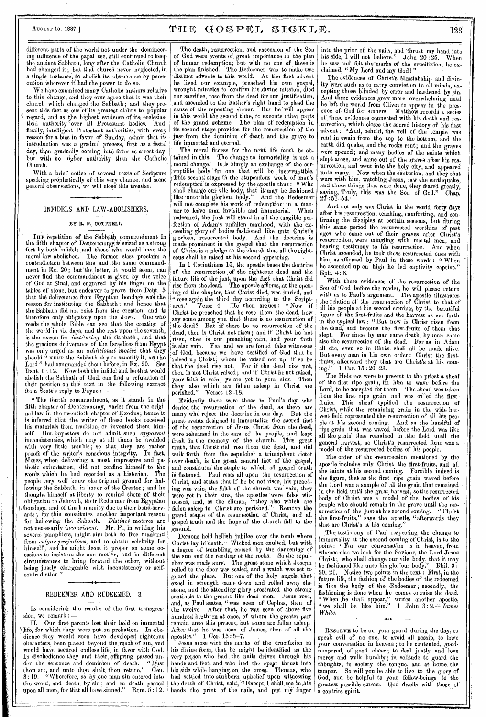# $\texttt{A}_{\texttt{UGUST 15, 1887.}}$   $\texttt{W11} \oplus \texttt{W21} \oplus \texttt{GOSPE1, SIGKLE}.$

different parts of the world not under the domineering influence of the papal see, still continued to keep the ancient Sabbath, long after the Catholic Church had changed it; but that church never neglected, in a single instance, to abolish its observance by persecution Wherever it had the power to do so..

We have examined many Catholic authors relative to this change, and they ever agree that it was their church which changed the Sabbath ; and they prer ent this fact as one' of its greatest claims to popular egard, and as the highest evidence of its; ecclesiastical authority over all Protestant bodies. And, finally, intelligent Protestant authorities, with every nowny, intemgent a rotestant substitution, admit that its introduction was a gradual process, first as a festal day, then gradually coming into favor as a rest-day, but with no higher authority than the Catholic Church.

With a brief notice of several texts of Scripture speaking prophetically of this very change, and some general observations, we will close this treatise.

#### INFIDELS AND LAW-ABOLISHERS.

#### BY R. F. COTTRELL.

THE repetition of the Sabbath commandment in the fifth chapter of Deuteronomy is seized as a strong fort by both infidels and those who would have the moral law abolished. The former class proclaim a contradiction between this and the same commandment in 20; but'the latter, it would seem, can never find the commandinent as given by the voice of God at Sinai, and engraved by his finger on the tables of stone, but endeavor to prove from Deut. 5 that the deliverance from Egyptian bondage was the reason for instituting the Sabbath ; and hence that the Sabbath did not exist from the creation, and is therefore only obligatory upon the Jews. One who therefore only obligatory upon the Jews. One who<br>reads the whole Bible can see that the creation of the world in six days, and the rest upon the seventh, is the reason for *instituting* the Sabbath; and that the gracious deliverance of the Israelites from Egypt was only urged as an *additional motive* that they should " KEEP the Sabbath day to sanctify it, As the Lord " had commanded them before, in Ex. 20. See Dent. 5 :12. Now both the infidel and he that would abolish the Sabbath of God, can find a refutation of their position on this text in the following extract from Scott's reply to Payne :—

" The fourth commandment, as it stands in the fifth chapter of Deuteronomy, varies from the original law in the twentieth chapter of Exodus; hence it is inferred that the writer of these books received his materials from tradition, or invented them him-<br>self. But innostors do not admit such *apparent* But impostors do not admit such *apparent* inconsistencies, which may at all times be avoided with very little trouble; so that, they are rather proofs of the writer's conscious integrity. In fact, Moses, when delivering a most impressive and pathetic exhortation, did not confine himself to the words which he had recorded as a historian. The people very well knew the original ground for hallowing the Sabbath, in honor of the Creator; and'he thought himself at liberty to remind them of their obligation to Jehovah, their Redeemer from Egyptian bondage, and of the humanity due to their bond-servants ; for this constitutes another important reason for hallowing the Sabbath. *Distinct* motives are not necessarily *inconsistent.* Mr. P., in writing his several pamphlets, might aim both to free mankind from *vulgar prejudices,* and to obtain celebrity for himself; and he might deem it proper on some occasions to insist on the one motive, and in different circumstances to bring forward the other, without being justly chargeable with inconsistency or selfcontradiction."

#### REDEEMER AND REDEEMED.-3.

In considering the results of the first transgression, we remark :

Our first parents lost their hold on immortal Iffe, for which they were put on probation. In obedience they would soon have developed righteous characters, been placed beyond the reach of sin, and would have secured endless life, in favor with God. In disobedience they and their, offspring passed under the sentence and dominion of death. "Dust thou art, and unto dust shalt thou return." Gen. 3:19. "Wherefore, as by one man sin entered into the world, and death, by sin ; and so.death passed upon all men, for that all have sinned." Rom. 5 : 12.

The death, resurrection, and ascension of the Son of God were events of, great importance in the plan of human redemption; but with no one of these is the plan finished. The Redeemer Was to make two distinct advents to this world. At the first advent he lived our example, preached his own gospel, wrought miracles to confirm his ,divine mission, died our sacrifice, rose from the dead for our justification, and ascended to the Father's right hand to plead the cause of the repenting sinner. But he will appear in this world the second time, to execute other parts of the grand scheme. The plan of redemption in its second stage provides for the resurrection of the just from the dominion of death and the grave to life immortal and eternal.

The moral fitness for the next life must be obtained in this. The change to immortality is not a moral change.' It is Simply' an exchange of the cor ruptible body for one that will be incorruptible. !This second stage in the stupendous work of man's . redemption' is' expressed by the apostle thus: " Who shall change our vile body, that it'may be fashioned like unto his glorious body." And the Redeemer will not complete his work of redemption in a manner to leave man invisible and immaterial. When redeemed, the just will stand in all the tangible perfection of Adam's unfallen manhood, with the , ceeding glory of bodies fashioned like unto Christ's glorious, resurrected body. And the doctrine is made prominent in the gospel that the resurrection of Christ is a pledge to the church that all the righteous shall be raised at his second appearing.

In 1 Corinthians 15, the apostle bases the doctrine of the resurrection of the righteous dead and the . future life of the just, upon the fact that Christ did rise from the ,dead. The apostle affirms, at the open ing of the chapter, that Christ died, was buried, and "rose again the third day according to the Script-<br>ures." Verse 4. He then argues: "Now if ures." Verse 4. He then argues: "Now if Christ be preached that he rose from the dead, how say some among you that there is no resurrection of the dead? But if there be no resurrection of the dead, then is Christ not risen; and if Christ be not risen, then is our preaching vain, and your faith is also vain. Yea, and we are found false witnesses of God, because we have testified of' God that he raised up Christ; whom he raised not up, if so be that the dead rise not. For if the dead rise not, then is not Christ raised ; and if Christ be not raised, your faith is vain; ye are yet in your sins. Then they also which are fallen asleep in Christ are perished." Verses 12-18.

Evidently there were those in Paul's day who denied the resurrection of the dead, as there are many who reject the doctrine in our day. But the great events designed to immortalize the sacred fact of the resurrection of Jesus Christ from the dead, were rehearsed in the ears of the people, and kept fresh in the memory of the church. This great truth, that Christ did rise from the dead, and did truth, that Christ did rise from the dead, and did walk forth from the sepulcher a triumphant victor over death, is the great central fact of the gospel, and constitutes the staple to which all gospel truth is fastened. Paul rests all upon the resurrection of Christ, and states that if he be not risen, his preaching was vain, the faith of the church was vain, they were yet in their sins, the apostles were false witnesses, and, as the climax, "they also which are fallen asleep in Christ are perished." Remove the grand staple of the resurrection of Christ, and all gospel truth and the hope of the church fall to the ground.

Demons held hellish jubilee over the tomb where Christ lay in 'death.' Wicked men exulted, but with a degree of trembling, caused by the darkening of the sun and the rending of the•rocks. So the sepulcher was made sure. The great stone which Joseph rolled to the door was sealed, and a watch was set to guard the place. But one of the holy angels :that excel in strength came down and rolled away the stone, and the attending glory prostrated the strong sentinels to the ground like dead men. Jesus rose, and, as Paul states, "was seen of Cephas, then of the twelve. After that, he was seen of above five hundred brethren at once, of whom the greater part remain unto this present, but some are fallen aslee After that, he was seen of James, then of all the apostles." 1 Cor. 15: 5-7.

Jesus arose with the marks of the crucifixion in his divine form, that he might be identified as the very person who had , the nails driven through his hands and feet, and who had the spear thrust into<br>his side while hanging on the cross. Thomas, who his side while hanging on, the cross. had settled into stubborn unbelief upon witnessing the death of Christ, said, "Except I shall see in his hands the print of the nails, and put my finger

into the print of the nails, and 'thrust my hand into his side, I will not believe." John 20:25. When he saw and felt the'marks of the crucifixion, he exclaimed, " My Lord and my God I "

The evidences of Christ's Messiahship and divinity were such as to carry conviction to all minds, excepting those blinded by error and hardened by sin. And these evidences grew more overwhelming until he left the world from Olivet to appear in the pres-<br>ence of God for sinners. Matthew records a series ence of God for sinners. Matthew records a series of, these evidences connected with his death and resurrection, which closes the sacred history of his first advent: "And, behold, the veil of the temple was rent in twain from the top to the bottom, and the earth did quake, and the rocks rent; and the graves were opened; and many bodies of the saints which slept arose, and came out of the graves after his resurrection, and went into the holy city, and appeared unto many. Now when the centurion, and they that were with him, watching Jesus, saw the earthquake, and those things that were done, they feared greatly, saying, Truly, this was the Son of God." Chap.  $27:51 - 54.$ 

And not only was Christ in the world forty days after his resurrection, teaching, comforting, and confirming the disciples at certain seasons, but daring this same period the resurrected worthies of past ages who came out of their graves after Christ's resurrection, were mingling with mortal men, and bearing testimony to his resurrection. And when Christ ascended, he took these resurrected ones with him, as affirmed by Paul in these words : " When he ascended up on high he led captivity captive. Eph. 4 : 8.

With these evidences of the resurrection of the Son of 'God before the reader, lie will please return with us to Paul's argument. The apostle illustrates the relation of the resurrection of Christ to that of all his people at his second coming, by the beautiful figure of the first-fruits and the harvest as set forth in the typical law : " But now is Christ risen from the dead, and become the first-fruits of them that slept. For since by man came death, by man came For since by man came death, by man came also the resurrection of the dead. For as in Adam all die, even so in Christ shall all be made alive. But every man in his own order: Christ the firstfruits, afterward they that are Christ's at his coming." 1 Cor. 15 : 20-23.

The Hebrews were to present to the priest a sheaf of the first ripe grain, for him to wave before the Lord, to be accepted for them. The sheaf was taken from the first ripe grain, and was called the firstfruits. This sheaf typified the resurrection of Christ, while the remaining grain in the wide harvest field represented the resurrection of all his people at his second coming. And as the handful of ripe grain that was waved before the Lord was like all the grain that remained in the field until the general harvest, so Christ's resurrected form was a • model of the resurrected bodies of his people.

The order of the resurrection mentioned by the apostle includes only Christ the first-fruits, and all the saints at his second coming. Forcible indeed is the figure, that as the first ripe grain waved before the Lord was a sample of all the grain that remained  $+$ in the field until the great harvest, so the resurrected body of Christ was a model of the bodies of his people who should remain in the grave until the resurrection of the just at his second coming. " Christ the first-fruits," says the apostle, "afterwards they that are Christ's at his coming."

The testimony of Paul respecting the change to immortality at the second coming of Christ, is to the point: "For our conversation is in heaven, from whence olso we look for the Saviour, the Lord Jesus Christ; who shall change our vile body, that it may be fashioned like unto his glorious body." Bhil. 3 : 20, 21. Notice two points in the text : First, in the future life, the fashion of the bodies of the redeemed is like the body of the Redeemer; secondly, the fashioning is done when he comes to raise the dead. "When he shall appear," writes another apostle, "we shall be like him." 1 John 3: *White.* 

RESOLVE to be on your guard during the day, to speak evil of no one, to avoid all gossip, to have your conversation in heaven ; to be contented, goodtempered, of good cheer ; to deal justly and love mercy and walk humbly ; in solitude to guard the thbughts, in society the tongue, and at home. the temper. So will you be able to live to the glory of God, and be helpful to your fellow-beings to the. greatest possible extent. , God dwells with those of a contrite spirit.

•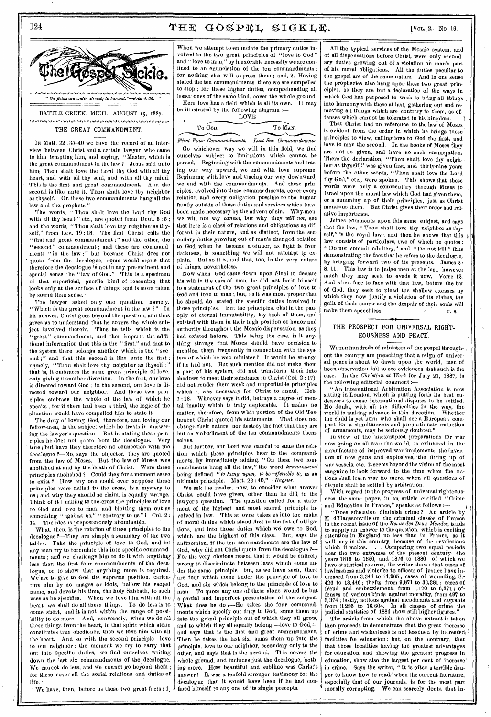# 124  $\textbf{THE GOSPEL}$   $\textbf{GOSPEL}$   $\textbf{SIGKLE}$ . [VOL. 2.—No. 16.



### THE GREAT COMMANDMENT.

IN Matt. 22 : 35-40 we have the record of an interview between Christ and a certain lawyer who came to him tempting him, and saying, "Master, which is the great commandment in the law ? Jesus said unto him, Thou shalt love the Lord thy God with all thy heart, and with all thy soul, and with all thy mind. This is the first and great commandment. And the second is like unto it, Thou shalt love thy neighbor as thyself. On these two commandments hang all the law and the prophets."

The words, "Thou shalt love the Lord thy God with all thy heart," etc., are quoted from Deut.  $6:5$ ; and the words, "Thou shalt love thy neighbor as thyself," from Lev. 19 : 18. The first Christ calls the "first and great commandment ;" and the other, the "second" commandment ; and these are commandments " in the law ;" but because Christ does not quote from the decalogue, some would argue that therefore the decalogue is not in any pre-eminent and special sense the "law of God." This is a specimen of that superficial, puerile kind of reasoning that looks only at the surface of things, and is more taken by sound than sense.

The lawyer asked only one question, namely, "Which is the great commandment in the law ?" his answer, Christ goes beyond the question, and thus gives us to understand that he covers the whole subject involved therein. Thus he tells which is the "great" commandment, and then imparts the additional information that this is the " first," and that to the system there belongs another which is the " second;" and that this second is like unto the first; namely, "Thou shalt love thy neighbor as thyself ;' that is, it embraces the same great principle of love, only giving it another direction. In the first, our love is directed toward God ; in the second, our love is directed toward our neighbor. And these two prin• ciples embrace the whole of the law of which he speaks ; for if there had been a third, the logic of the situation would have compelled him to state it.

The duty of loving God, therefore, and loving our fellow-men, is the subject which he treats in answering the lawyer's question. But in stating these prin-<br>ciples he does not quote from the decalogue. Very ciples he does not quote from the decalogue. true; but have they therefore no connection with the decalogue 2—No, says the objector, they are quoted from the law of Moses. But the law of Moses was abolished at and by the 'death of Christ. Were these principles abolished ? Could they for a moment cease to exist ? How any one could ever suppose these principles were nailed to the cross, is a mystery to us ; and why they should so claim, is equally strange. Think of it I nailing to the cross the principles of love to God and love to man, and blotting them out as something "against us," "contrary to us" I Col. 2: 14. The idea is preposterously abominable.

What, then, is the relation of these principles to the decalogue 7—They are simply a summary of the two tables. Take the principle of love to God, and let any man try to formulate this into specific commandments ; and we challenge him to do it with anything less than the first four commandments of the decalogue, or to show that anything more is required. We are to give to God the supreme position, caricature him by no images or idols, hallow his sacred name, and devote his time, the holy Sabbath, to such uses as he specifies. When we love him with all the heart, we shall do all these things. To do less is to come short, and it is not within the range of possibility to do more. And, conversely, when we do all these things from the heart, in that spirit which alone constitutes true obedience, then we love him with all the heart. And so with the second principle—love to our neighbor ; the moment we try to carry that out into specific duties, we find ourselves writing down the last six commandments of the decalogue. We cannot do less, and we cannot go beyond them; for these cover all the social relations and duties of life.

We have, then, before us these two great facts : 1,

When we attempt to-enunciate the primary duties involved in the two great principles of "love to God" and "love to man," by inexorable necessity we are confined to an enunciation of the ten commandments; for nothing else will express them ; and, 2. Having stated the ten commandments, there we are compelled to stop ; for these higher duties, comprehending all lesser ones of the same kind, cover the whole ground. Here love has a field which is all its own. It may

be illustrated by the following diagram :— **LOVE** 

To God. To MAN.

*First Four Commandments. Last Six Commandments.* 

Go whichever way we will in this field, we find ourselves subject to limitations which cannot be passed. Beginning with the commandments and tracing our way upward, we end with love supreme. Beginning with love and tracing our way downward, we end with the commandments. And these principles, evolved into these commandments, cover every relation and every obligation possible to the human family outside of those duties and services which have been made necessary by the advent of sin. Why-men, we will not say *cannot,* but why they *will not,* see that here is a class of relations and obligations as different in their nature, and as distinct, from the secondary duties growing out of man's changed relation to God when he became a sinner, as light is from darkness, is something we will not attempt to explain. But so it is, and that, too, in the very nature of things, nevertheless.

Now when God came down upon Sinai to declare his will in the ears of men, he did not limit bimself to a statement of the two great principles of love to God and love to man ; but, as it was most proper that he should do, stated the specific duties involved in those principles. But the principles, clad in the panoply of eternal immutability, lay back of them, and existed with them in their high position of honor and authority throughout the Mosaic dispensation, as they had existed before. This being the case, is it anything strange that Moses should have occasion to mention them frequently in connection with the system of which he was minister ? It would be strange if he had not. But such mention did not make them a part of his system, did not transform them into shadows to meet their substance in Christ (Col. 2:17), did not render them weak and unprofitable principles which it was necessary for Christ to annul. Heb.  $\gamma$ :18. Whoever says it did, betrays a degree of mental inanity which is truly deplorable. It makes no matter, therefore, from what portion of the Old Testament Christ quoted his statements. That does not change their nature, nor destroy the fact that they are but an embodiment of the ten commandments themselves,

But further, our Lord was careful to state the relation which these principles bear to the commandments, by immediately adding, "On these two commandments hang all the law," the word *kremannumi* being defined "to hang upon, to be referable to, as an ultimate principle. Matt. 22 : *40."—Bayster.* 

We ask the reader, now, to consider what answer Christ could have given, other than he did, to the lawyer's question. The question called for a statement of the highest and most sacred principle involved in law. This at once takes us into the realm of moral duties which stand first in the list of obligations, and into those duties which we owe to God, which are the highest of this class. But, says the antinomian, if the ten commandments are the law of God, why did not Christ quote from the decalogue ?— For the very obvious reason that it would be entirely wrong to discriminate between laws which come under the same principle ; but, as we have seen, there are four which come under the principle of love to God, and six which belong to the principle of love to man. To quote any one of these alone would be but a partial and imperfect presentation of the subject. What does he do ?-He takes the four commandments which specify our duty to God, sums them up into the grand principle out of which they all grow, and to which they all equally belong,—love to God,and says that is the first and great commandment. Then he takes the last six, sums them up into the principle, love to our neighbor, secondary only to the other, and says that is the second. This covers the whole ground, and includes just the decalogue, nothing more. How beautiful and sublime was Christ's answer I It was a tenfold stronger testimony for the decalogue than it would have been if he had confined himself to any one of its single precepts.

All the typical services of the Mosaic system, and of all dispensations before Christ, were only secondary duties growing out of a violation on man's part of his moral obligations. All the duties, peculiar to the gospel are of the same nature. And in one sense the prophecies also hang upon these two great principles, as they are but a declaration of the ways in which God has purposed to work to bring all things into harmony with these at last, gathering out and removing all things which are contrary to them, as offenses which cannot be tolerated in his kingdom.

That Christ had no reference to the law of Moses is evident from the order in which he brings these principles to view, calling love to God the first, and love to man the second. In the books of Moses they are not so given, and have no such enumeration. There the declaration, "Thou shalt love thy neigh-. bor as thyself," was given first, and thirty-nine years before the other words, "Thou shalt love the Lord thy God," etc., were spoken. This shows that these words were only a commentary through Moses to Israel upon the moral law which God had given them, or a summing up of their principles, just as Christ mentions them. But Christ gives their order and relative importance.

James comments upon this same subject, and says that the law, "Thou shalt love thy neighbor as thyself," is the royal law ; and then he shows that this law consists of particulars, two of which he quotes : "Do not commit adultery," and "Do not kill," thus demonstrating the fact that he refers to the decalogue, by bringing forward two of its precepts. James  $2:$  8. 11. This law is to judge men at the last however This law is to judge men at the last, however much they may seek to evade it now. Verse 12. And when face to face with that law, before the bar of God, they seek to plead the shallow excuses by which they now justify a violation of its claims, the guilt of their course and the despair of their souls will make them speechless.  $\qquad \qquad \bullet$   $\qquad \qquad \bullet$   $\qquad \qquad \bullet$  s.

### THE PROSPECT FOR UNIVERSAL RIGHT-EOUSNESS AND PEACE.

WHILE hundreds of ministers of the gospel throughout the country are preaching that a reign of universal peace is about to dawn upon the world, men of keen observation fail to see evidences that such is the case. In the *Christian at Work* for July 21, 1887, is case. In the *Christian at Work* for July 21, 1887, is the following editorial comment :-

"An International Arbitration Association is now sitting in London, which is putting forth its best endeavors to cause international disputes to be settled. No doubt, with all the difficulties in the way, the world is making advance in this direction. Whether the child is yet born who shall see a European compact for a simultaneous and proportionate reduction of armaments, may be seriously doubted."

In view of the unexampled preparations for war now going on all over the world, as exhibited in the manufacture of improved war implements, the invention of new guns and explosives, the fitting up of war vessels, etc., it seems beyond the vision of the most sanguine to look forward to the time when the nations shall learn war ho more; when all questions of dispute shall be settled by arbitration.

With regard to the progress of universal righteousness, the same paper, in an article entitled "Crime and Education in France," speaks as follows :-

" Does education diminish crime ? An article by M. d'Haussonville on the criminal classes of France in time recent issue of the *Revue des Deux Mondes,* tends to supply an answer to the question, which is exciting attention in England no less than in France, as it well may in this country, because of the revelations which it makes. . . . Comparing two equal periods near the two extremes of the present century—the years 1816 to 1820, and 1876 to 1880—of which we have statistical returns, the writer shows that cases of lawlessness and violence to officers of justice have increased from 8,344 to 14,965 ; cases of wounding, 8,- 426 to 18,446 ; thefts, from 9,871 to 33,381 ; cases of fraud and embezzlement, from  $1,170$  to  $6,371$ fenses of various-kinds against morality, from 497 to 3,374 ; lastly, actions against mendicants and vagrants from 3,296 to 16,604. In all class¢s of crime the judicial statistics of 1884 show still higher figures."

The article from which the above extract is taken then proceeds to demonstrate that the great increase of crime and wickedness is not lessened by increased facilities for education ; but, on the contrary, that that those localities having the greatest advantages for education, and showing the greatest progress in education, show also the largest per cent of increase' in crime. Says the writer, "It is often a terrible danger to know how to read;' when the current literature, especially that of our journals, is for the most part morally corrupting. We can scarcely doubt that in-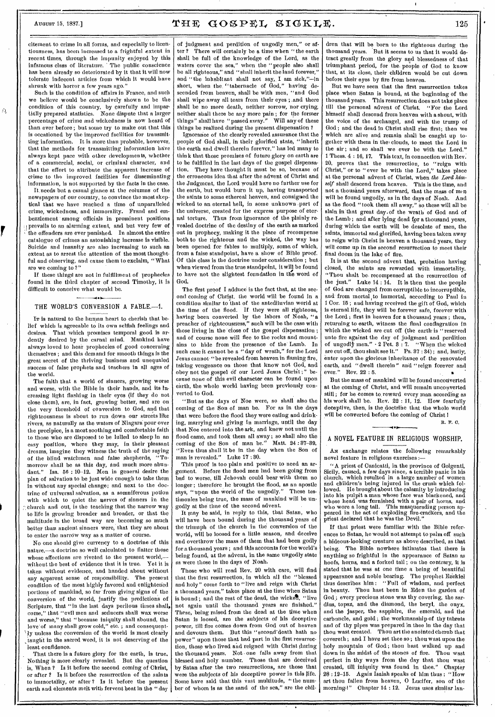Ä

ŗ

# August 15, 1887.]  $\mathbf{THE} \quad \mathbf{GOSPEL} \quad \mathbf{SIGKLE} \quad \qquad 125$

citement to crime in all forms, and especially to licentiousness, has been increased to a frightful extent in recent times, through the impunity enjoyed by this infamous class of literature. ' The public conscience has been already so deteriorated by it that it will now tolerate indecent articles from which it would have shrunk with horror a few years ago."

Such is the condition of affairs in France, and such we believe would be conclusively shown to be the condition of this country, by carefully and impartially prepared statistics. None dispute that a larger percentage of crime and wickedness is now heard of than ever before: but some try to make out that this is occasioned by the improved facilities for transmitting information. It is more than probable, however, that the methods for transmitting information have always kept pace with other developments, whether of a commercial, social, or criminal character, and that the effort to attribute the apparent increase of crime to the improved facilities for disseminating information, is not supported by the facts in the case.

It. needs but a casual glance at the columns of the newspapers of our country, to convince the most skeptical that we have reached a time of unparalleled crime, wickedness, and immorality. Fraud and embezzlement among officials in prominent positions prevails to an alarming extent, and but very few of the offenders aro ever punished. In almost the entire catalogue of crimes au astonishing increase is visible. Suicide and insanity are also increasing to such an extent as to arrest the attention of the most thoughtful and observing, and cause them to exclaim, "What are we coming to ?"

If these things are not in fulfillment of prophecies found in the third chapter of second Timothy, it is difficult to conceive what would be.

#### THE WORLD'S CONVERSION A FABLE.--- 1.

IT is natural to the human heart to cherish that belief which is.agreeable to its own selfish feelings and desires. That which promises temporal good is ardently desired by the carnal mind. Mankind have always loved to hear prophecies of good concerning themselves ; and this demand for smooth things is the great secret of the thriving business and unequaled success of false prophets and teachers in all ages of the world.

The faith that a world of sinners, growing worse and worse, with the Bible in their hands, and its Increasing light flashing in their eyes (if they do not close them), are, in fact, growing better, and are on the very threshold of conversion to God, and that righteousness is about to run down our streets like rivers, as naturally as the waters of Niagara pour over the precipice, is a most soothing and comfortable faith to those who are disposed to be lulled to sleep in an easy position, where they may, in their pleasant dreams, imagine they witness the truth of the saying of the blind watchmen and false shepherds, "Tomorrow shall be as this day, and much more abun-<br>dant." Isa. 56:10-12. Men in general desire the Isa.  $56 : 10-12$ . Men in general desire the plan of salvation to be just wide enough to take them in without any special change; and next to the doctrine of universal salvation, as a somniferous potion with which to quiet the nerves of sinners in the church and out, is the teaching that the narrow way to life is growing broader and broader, or that the multitude in the broad way are becoming so much better than ancient sinners were, that they are about to enter the narrow way as a matter of course.

No one should give currency to a doctrine of this nature,—a doctrine so well calculated to flatter those whose affections are riveted to the present world,without the best of evidence that it is true. Yet it is taken without evidence, and handed about without any apparent sense of responsibility. The present condition of the most highly favored and enlightened portions of mankind, so far "from giving signs of the conversion of the world, justify the predictions of Scripture, that "in the last days perilous times shall, come," that "evil men and seducers shall wax worse and worse," that "because iniquity shall abound, the love' of many shall grow cold," etc. ; and consequent- ~ ly unless the conversion of the world is most clearly taught in the sacred word, it is not deserving of the least confidence.

That there is a future glory for the earth, is true. Nothing is more clearly revealed. But the question is, When ? Is it before the second coming of Christ, or after ? Is it before the resurrection of the saints to immortality, or after ? Is it before the present earth and elements melt with fervent heat in the " day

of judgment and perdition of ungodly men," or after ? There will certainly be a time when " the earth shall be full of the knowledge of the Lord, as the waters cover the sea," when the "people also shall be all righteous," and "shall inherit the land forever," and "the inhabitant shall not say,. I am sick,"—in short, when the "tabernacle of God," having descended from heaven, shall be with men, "and God shall wipe away all tears from their eyes ; .and there shall be no more death, neither sorrow, nor crying, neither shall there be any more pain; for the former<br>things" shall have "passed ayay." Will any of these things" shall have "passed away." Will any of these things be realized during the present dispensation ?

Ignorance of the clearly revealed assurance that the people of God shall, in their glorified state, "inherit the earth and dwell therein forever," has led many to think that those promises of future glory on earth are to be fulfilled in the last days of the gospel dispensation. They have thought it must be so, because of the erroneous idea that after the advent of Christ and the Judgment, the Lord would have no further use for the earth, but would burn it up, having transported the saints to some ethereal heaven, and consigned the wicked to an eternal hell, in some unknown -part of the universe, created for the express purpose of eternal torture. Thus from ignorance of the plainly revealed doctrine of the destiny of the earth as marked out in prophecy, making it the place of recompense both to the righteous and the wicked, the way has been opened for fables to multiply, some, of which, from a false standpoint, have a show of Bible proof. Of this class is the doctrine under consideration ; but when viewed from the true standpoint, it will be found to have not the slightest foundation in the word of God.

The first proof I adduce is the fact that, at the second coming of Christ, the world will be found in a condition similar to 'that of the antediluvian world at the time of the flood. If they were all righteous, having been converted by the labors of Noah, "a preacher of righteousness," such will be the case with those living in the close of the gospel dispensation; and of course none will flee to the rocks and mountains to hide from the presence of the' Lamb. In such case it cannot be a "day of wrath," for the Lord Jesus cannot- "be revealed from heaven in flaming fire, taking vengeance on those that know not God, and obey not the gospel of our Lord Jesus Christ;" because none of this evil character can be found upon earth, the whole world having been previously converted to God.

"But as the days of Noe were, so shall also the coming of the Son of man be. For as in the days that were before the flood they were eating and drinking, marrying and giving in marriage, until the day that Noe entered into the ark, and knew not until the flood came, and took them all away; so shall also the coming of the Son of man be." Matt. 24:37-39. coming of the Son of man be." "Even thus shall it be in the day when the Son of man is revealed." Luke 17 : 30.

This proof is too plain and positive to need an argument. Before the flood men had been going from bad to worse, till Jehovah could bear with them no longer ; therefore he brought the flood, as an apostle says, "upon the world of the ungodly." These testimonies being true, the mass of mankind will be ungodly at the time of the second advent.

It may be said, in reply to this, that Satan, who will have been bound during the thousand years of the triumph of the church in the conversion of the world, will be loosed for a little season, and deceive and overthrow the mass of them that had been godly for a thousand years ; and this accounts for the world's being found, at the advent, in the same ungodly state as were those in the days of Noah.

Those who will read Rev. 20 with care, will find that the first resurrection, in which all the "blessed and holy" come forth to "live and reign with Christ a thousand years," takes place at the time when Satan is bound; and the rest of the dead, the wicket, "live not again until the thousand years are finished." These, being raised from the dead at the time when Satan is loosed, aro the subjects of his deceptive power, till fire comes down from God out of heaven and devours them. But this "second'death hath no power" upon those that had part in the first resurrection, those who lived and reigned with Christ during the thousand years. Not • one falls away from that blessed and holy number. Those that are deceived by Satan after the two resurrections, are those that were the subjects of his deceptive power in this life. Some have said that this vast multitude, "the number of whom is as the sand of the sea," are the children that will be born to the righteous during the thousand years. But it seems to us that it would detract greatly from the glory and blessedness of, that triumphant period, for the. people of God to know that, at its close, their children would be cut down before their eyes by fire from heaven.

But we have seen that the first resurrection takes place when Satan is bound, at the beginning of the thousand years. This resurrection does not take place till the personal advent of Christ. "For the Lord himself shall descend from heaven with a shout, with the voice of the archangel, and with the trump of God ; and the dead in Christ shall rise first; then we which are alive and remain shall be caught up together with them in the clouds, to meet the Lord in the air ; and so shall we ever be with the Lord." 1 Thess. 4 : 16, 17. This text, in connection with Rev: 20, proves that the resurrection, to "reign with Christ," or to " ever be with the Lord," takes place at the personal advent of Christ, when the Lord him*self* shall descend from heaven. This is the time, and not a thousand years afterward, that the mass of men will be found ungodly, as in the days of Noah. And as the flood "took them all away," so these will all be slain in that great day.of the wrath of God and of the Lamb ; and after lying dead for a thousand years, during which the earth will be desolate of men, the saints, immortal and glorified, having been taken away to reign with Christ in heaven a thousand years, they will come up in the second resurrection to meet their final doom in the lake of fire.

It is at the second advent that, probation having closed, the saints are rewarded with immortality. "Thou shalt be recompensed at the resurrection of the just." Luke 14 : 14. It is then that the people of God are changed from corruptible to incorruptible, and from mortal to immortal, according to Paul in 1 Cor. 15 ; and having received the gift of God, which is eternal life, they will be forever safe, forever with the Lord ; first in heaven for a thousand years ; then, returning to earth, witness the final conflagration in which the wicked are cut off (the earth is "reserved unto fire against the day of judgment and perdition<br>of ungodly men."  $\cdot$  2 Pet. 3 : 7. "When the wicked of ungodly men."  $\cdot$  2 Pet. 3 : 7. are cut off, thou shalt see it." Ps. 37:34); and, lastly, enter upon the glorious inheritance of the renovated earth, and " dwell therein" and " reign forever and ever." Rev, 22 : 5.

But the mass of mankind will be found unconverted at the coming of Christ, and will remain unconverted still ; for he comes to. reward every man according as his work shall be. Rev. 22 : 11, 12. How fearfully decentive, then, is the doctrine that the whole world will be converted before the coming of Christ I

IL F. O.

# • A NOVEL FEATURE IN RELIGIOUS WORSHIP.

AN exchange relates the following remarkably novel feature in religious exercises :—

"A priest of Canicatti, in the province of Goigenti, Sicily, caused, a few days since, a terrible panic in his church, which resulted in a large number of women and children's being injured in the crush which followed. He brought about the calamity by introducing into his pulpit a man whose face was blackened, and whose head was furnished with a pair of horns, and who wore a long tail. This masquerading person appeared in the act of exploding fire-cradkers, and the priest declared that he was the Devil."

If that priest were familiar with the Bible references to Satan, he would not attempt to palm off such a hideous-looking creature as above described, as that being. The Bible nowhere intimates that there is anything so frightful in the appearance of Satan as hoofs, horns, and a forked tail; on the contrary, it is stated that he was at one time a being of beautiful appearance and noble bearing. The prophet Ezekiel thus describes him : "Full of wisdom, and perfect in beauty. Thou hest been in Eden the garden of God; every precious stone was thy covering, the sardins, topaz, and the diamond, the beryl, the onyx, and the jasper, the sapphire, the emerald, and the carbuncle, and gold ; the workmanship of thy tabrets and of thy pipes was prepared in thee in the day that thou west created. Thou art the anointed cherub that covereth ; and I have set thee so ; thou west upon the holy mountain of God; thou bast walked up and down in the midst of the stones of fire. Thou wast perfect in thy ways from the day that thou wast created, till iniquity was found in thee." Chapter 28 : 12-15. Again Isaiah speaks of him thus : "How art thou fallen from heaven, 0 Lucifer, son of the morning4" Chapter 14 : 12. Jesus uses similar lan•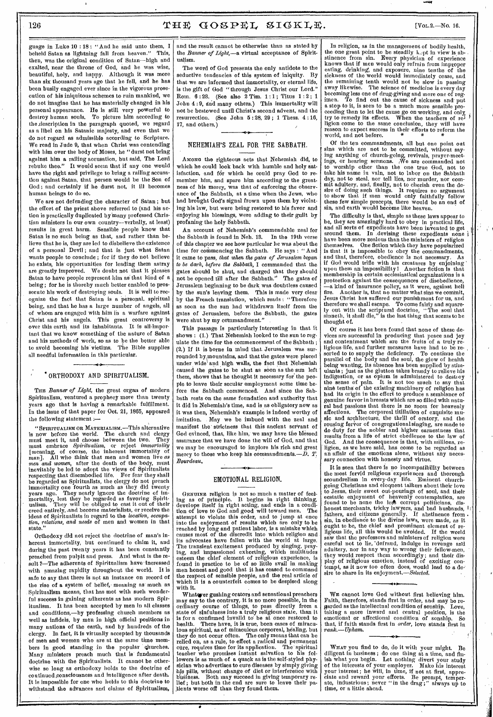126  $THF GOSPEL SIGKLE.$  [Vol.2.-No. 16.

guage in Luke 10 : 18 : "And he said unto them, I<br>hebeld Satan as lightning fall from heaven." This. beheld Satan as lightning fall from heaven. then, was the original condition of Satan—high and exalted, near the throne of God, and he was wise, beautiful, holy, and happy. Although it was more than six thousand years ago that he fell, and he has been busily engaged ever since in the vigorous prosecution of his iniquitous schemes to ruin mankind, we do not imagine that he has materially changed in his personal appearance. He is still very powerful to destroy human souls. To picture him according to the description in the paragraph quoted, we regard as a libel on his Satanic majesty, and even that we do not regard as admissible according to Scripture. We read in Jude 9, that when Christ was contending with him over the body of Moses, he "durst not bring against him a railing accusation, but said, The Lord rebuke thee." It would seem that if any one would have the right and privilege to bring a railing accusation against Satan, that person would be the Son of God; and certainly if he durst not, it ill becomes human beings to do so.

We are not defending the character of Satan; but the effort of the priest above referred to (and his action is practically duplicated by'many professed Christian ministers in our own country—verbally, at least) results in great harm. Sensible people know that Satan is no such being as that, and rather than believe that he is, they are led to disbelieve the existence of a personal Devil ; and that is just what Satan wants people to conclude ; for if they do not believe he exists, his opportunities for leading them astray are greatly improved. We doubt not that it pleases Satan to have people represent him as' that kind of a being ; for he is thereby much better enabled to prossecute his work of destroying souls. It is well to recognize the fact that Satan is a personal. spiritual being, and that he has a large number of angels, all of whom are engaged with him in a warfare against Christ and his angels. This great controversy is over this earth and its inhabitants, It is all-important that we know something of the nature of Satan and his methods of work, so as to be the better able to avoid becoming his victims. The Bible supplies all needful information in this particular.

#### ORTHODOXY AND SPIRITUALISM.

THE *Banner of Light*, the great organ of modern Spiritualism, ventured a prophecy more than twenty years ago that is having a remarkable fulfillment. In the issue of that paper for Oct. 21, 1865, appeared the following statement :—

" SPIRITUALISM OR MATERIALISM.—This alternative is now before the world. The church and clergy must meet it, and choose between the two. They must embrace *Spiritualism,* or reject *immortality*  [meaning, of course, the inherent immortality of man]. All who think that men and women live *as*  men and women, after the death of the body, must inevitably be led to adopt the views of Spiritualists respecting that disembodied life. For fear they shall be regarded as Spiritualists, the clergy do not preach immortality one fourth as much as they did twenty years ago. They nearly ignore the doctrine of immortality, lest they be regarded as favoring Spirit-ualism. They will be obliged to cast it out oftheir creed entirely, .and become materialists, or receive the ideas of Spiritualists in regard to the *location, occupa-tion, relations, and needs* of men and women in that state."

Orthodoxy did not reject the doctrine of man's inherent immortality, but continued to claim it, and during the past twenty years it has been constantly preached from pulpit and press. And what is the result ?—The adherents of Spiritualism have increased with amazing rapidity throughout the world. It is safe to say that there is not an instance on record of the rise of a system of belief, meaning as much as Spiritualism means, that has met with such wonderful success in gaining adherents as has modern Spiritualism. It has been accepted by men in all classes and conditions,—by professing church members as well as infidels, by men in high official positions in many nations of the earth, and by hundreds of the clergy. In fact, it is virtually accepted by thousands of men and women who are at the same time members in good standing in the popular churches. Many ministers preach much that is fundamental doctrine with the Spiritualists. It cannot be otherwise so long as orthodoxy holds to the doctrine of continued consciousness and intelligence after death. It is impossible for one who holds to this doctrine to withstand the advances and claims of Spiritualism, and the result cannot be otherwise than as stated by the *Banner of Light,* —a virtual acceptance of Spiritualism.

The word of God presents the only antidote to the seductive tendencies of this system of iniquity. By that we are informed that immortality, or eternal life, is the gift of God "through Jesus Christ our Lord." Rom.  $6:23$ . (See also 2 Tim. 1:1; Titus 1:2; 1 John 4 : 9, and many others.) This immortality will not be bestowed until Christ's second advent, and the resurrection. (See John 5 : 28, 29 ; 1 Thess. 4 :16, 17, and others.)

#### NEHEMIAH'S ZEAL FOR THE SABBATH.

AMONG the righteous acts that Nehemiah did, to which he could look back with humble and holy satisfaction, and for which he could pray God to remember him, and spare him according to the greatness of his mercy, was that of enforcing the observance of the Sabbath, at a time when the Jews, who had brought God's signal frown upon them by violating his law, but were being restored to his favor and enjoying his blessings, were adding to their guilt by profaning the holy Sabbath.

An account of Nehemiah's commendable zeal for the Sabbath is found in Neh. 13. In the 19th verse of this chapter we see how particular he was about the time for commencing the Sabbath. He says : " And it came to pass, *that when the gates of Jerusalem began to be dark, before the Sabbath,* I commanded that the gates should be shut, and charged that they should not be opened till after the Sabbath." The gates of not be opened till after the Sabbath." Jerusalem beginning to be dark was doubtless caused by the sun's leaving them. This is made very clear by the French translation, which reads : "Therefore as soon as the sun had withdrawn itself from the gates of Jerusalem, before the Sabbath, the gates were shut by my commandment."

This passage is particularly interesting in that it shows : (1.) That Nehemiah looked to the sun to regulate the time for the commencement of the Sabbath ; (2.) If it is borne in mind that. Jerusalem was surrounded by mountains, and that the gates were placed under wide and high walls, the fact that Nehemiah caused the gates to be shut as soon as the sun left them, shows that he thought it necessary for the people to leave their secular employment some time before the Sabbath commenced. And since the Sabbath rests on the same foundation and authority that it did in Nehemiah's time, and is as obligatory now as it was then, Nehemiah's example is indeed worthy of imitation. May we be imbued with the zeal and manifest the strictness that this ancient servant of God evinced, that, like him, we may have the blessed assurance that we have done the will of God, and that we may be encouraged to implore his rich and great mercy to those who keep his commandments. *—D. T. Bourdeau.* 

#### EMOTIONAL RELIGION.

GENUINE religion is not so much a matter of feel-ing as of principle. It begins in right thinking, develops itself in right acting, and ends in a condition of love to God and good will toward men. The attempt to violate this order, and to jump at once into the enjoyment of results which are only to be reached by long and patient labor, is a mistake which causes most of the discredit into which religion and its advocates have fallen with the world at large. The transient excitement produced by singing, pray-ing, and impassioned exhorting, which multitudes esteem the chief element of religious experience, is found in practice to be of so little avail in making men honest and good that it has ceased to command the respect of sensible people, and the real article of which it is a counterfeit comes to be despised along with it.

Whatever gushing orators and sensational preachers may say to the contrary, it is no more possible, in the ordinary course of things, to pass directly from a tate of sinfulness into a truly religious state, than it is for a confirmed invalid to be at once restored to health. There have, it is true, been cases of miraculous spiritual, as of miraculous corporeal, healing, but they do not occur often. The only means that can be relied on, as a rule, to effect a radical and permanent cure, requires time for its application. The spiritual teacher who promises instant salvation to his followers is as much of a quack as is the self-styled physician who advertises to cure diseases by simply giving his pills, without change of diet or interference with business. Both may succeed in giving temporary re-lief ; but both in the end are sure to leave their patients worse off than they found them.

In religion, as in the management of bodily health, the one great point to be steadily  $k$ -pt in view is abstinence from sin. Every physician of experience knows that if men would only refrain from improper eating, drinking; and exposure, nine tenths of the sickness of the world would immediately cease, and the remaining tenth would not be slow in passing away likewise. The science of medicine is every day becoming less one of drug-giving and more one of regimen. To find out the cause of sickness and put a stop to it, is seen to be a much more sensible proceeding than to let the cause go on working, and only, try to remedy its effects. When the teachers of religion come to the same conclusion, they will have reason to expect success in their efforts to reform the world, and not before.

Of the ten commandments, all but one point out sins which are not to be committed, without saying anything of church-going, revivals, prayer-meet-ings, or hearing sermons. (We are commanded not to worship other than the ono true God, not to take his name in vain, not to labor on the Sabbath day, not to steal, nor tell lies, nor murder, nor com-mit adultery, and, finally, not to cherish even the desire of doing such things. It requires no argument to show that if men would only faithfully follow these few simple precepts, there would be an end of sin, and earth would become like heaven.

The difficulty is that, simple as these laws appear to be, they are amazingly hard to obey in practical life, and all sorts of expedients have been invented to get around them. In .devising these expedients none have been more zealous than the ministers of religion themselves. One fiction which they have popularized is that it is impossible to obey the commandments, and that, therefore, obedience is not necessary. As if God would trifle with his creatures by enjoining' upon. them an impossibility 1 Another fiction is that membership in certain ecclesiastical organizations is a protection against the consequences of disobedience, —a kind of insurance policy, as it were, against hell fire. Another is, that no matter what sins we commit, Jesus Christ has suffered our punishment for us, and therefore we shall escape. To come fairly and square-ly out with the scriptural doctrine, "The soul that sinneth, it shall die," is the last thing that seems to be thought of.

Of course it has been found that none of these devices are successful in producing that peace and joy and contentment which are the fruits of a truly religious life, and further measures have had to be resorted to to supply the deficiency. To continue the parallel of the body and the soul, the glow of health being wanting, its absence has been supplied by stim-ulants ; just as the glutton takes brandy to relieve his indigestion, or as opium is administered to desti oy the sense of pain. It is not too much to say that nine tenths of the existing machinery of religion has had its origin in the effort to produce a semblance of genuine fervor in breasts which are so filled with natural bad passions that there is no room for heavenly affections. The corporeal titillation of exquisite music and architecture, the thrill of oratory, and the rousing fervor of congregational singing, are made to do duty for the nobler and higher earnestness that results from a life of strict obedience to the law of God. And the consequence is that, with millions, religion, as we have said, has come to be regarded as an affair of the emotions alone, without any necessary connection with honesty and virtue.

It is seen that there is no incompatibility between the most fervid religious experiences and thorough scoundrelism in every-day life. Eminent churchgoing Christians and eloquent talkers about their love to Jesus, their sweet out-pourings of soul, and their ecstatic enjoyment of heavenly contemplation, are found to be none the less corrupt politicians, dishonest merchants, tricky lawyers, and bad husbands, fathers, and citizens generally. If abstinence from since increased in the divine generally. If abstituted from<br>sin, in obedience to the divine laws, were made, as it ought to be, the chief and prominent element of religious life, all this would be avoided. If the world saw that the professors and ministers of religion were careful not to lie, 'defraud, indulge in revenge and adultery, nor in any way to wrong their fellow-men, they would respect them accordingly ; and their display of religious emotion, instead of exciting con-<br>tempt, as it now too often does, would lead to a de-<br>sire to share in its enjoyment.—Selected.

WE cannot love God without first believing him. Faith, therefore, stands first in order, and may be regarded as the intellectual condition of sonship. Love, taking a more inward and central position, is the emotional or affectional condition of sonship. So that, if faith stands first in *order,* love stands first in *rank.—Upham.* 

WHAT you find to do, do it with your might. Be diligent in business ; do one thing at a time, and finish what you begin. Let nothing divert your study of the interests of your employer. Make his interest your interest; he will, in time, if not at first, appreciate and reward your efforts. Be prompt, temperate, industrious; never "in the drag;" always up to time, or a little ahead.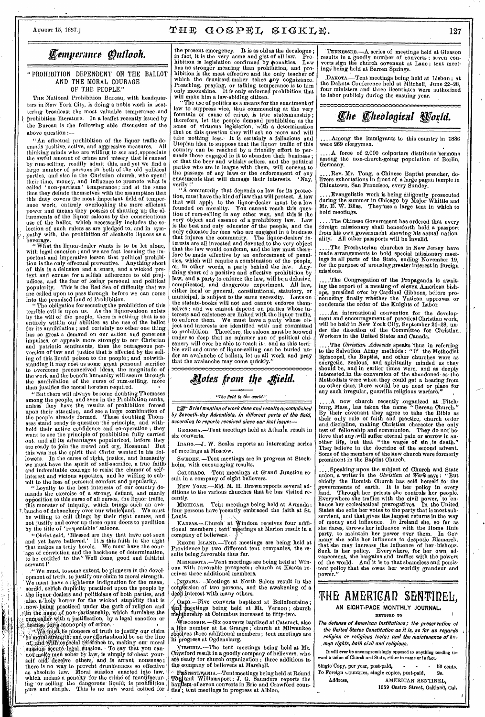# AUGUST 15, 1887.]  $THF GOSPEL SIGKLE$ . 127

# *femperance Outlook.*

#### " PROHIBITION DEPENDENT ON THE BALLOT AND THE MORAL COURAGE OF THE PEOPLE."

THE National Prohibition Bureau, with headquarters in New York City, is doing a noble work in scattering broadcast the most valuable temperance and prohibition literature. In a leaflet recently issued by the Bureau is the following able discussion of the above question :—

"An effectual prohibition of the liquor traffic demands positive, active, and aggressive measures. All thinking minds who are willing to see and,appreciate the awful amount of crime and misery that is caused by rum-selling, readily admit this, and yet we find a large number of persons in both of the old political parties, and also in the Christian church, who spend their time, money, and influence to promote what is called ' non-partisan' temperance ; and at the same time they delude themselves with the assumption that this duty covers the most important field of temperance work, entirely overlooking the more efficient power and means they possess of shutting up the allurements of the liquor saloons by the conscientious use of the ballot, which necessarily includes the selection of such rulers as are pledged to, and in sympathy with, the prohibition of alcoholic liquors as a beverage.

" What the liquor-dealer Wants is to be let alone, with legal sanction ; and we are fast learning the important and imperative lesson that political prohibition is the only effectual preventive. Anything short of this is a delusion and a snare, and a wicked pretext and excuse for a selfish adherence to old prejudices, and the fear of losing personal and political popularity. This is the Red Sea of difficulty that we are called upon to pass through before we can come into the promised land of Prohibition.

"The obligation for securing the prohibition of this terrible evil is upon us. As the liquor-saloon exists by the will of the people, there is nothing that is so entirely within our abilities as the use of the ballot for its annihilation ; and certainly no other one thing has so great a demand on our action and generous impulses, or appeals more strongly to our Christian and patriotic sentiments, than the outrageous perversion of law and justice that is effected by the selling of this liquid poison to the people ; and notwithstanding it may cost us some great personal sacrifice to overcome preconceived ideas, the magnitude of the work and the benefit humanity will secure through the annihilation of the curse of rum-selling, more than justifies the moral heroism required.

"But there will always be some doubting Thomases among the people, and even in the Prohibition ranks, unless they have the results of prohibition forced upon their attention, and see a large combination of the people already formed. These doubting Thomases stand ready to question the principle, and withhold their active confidence and co-operation ; they want to *see* the principle of prohibition fully carried out, and all its advantages popularized, before they are ready to join the crowd and cry, Hosanna I But this was not the spirit that Christ wanted in his followers. In the cause of right, justice, and humanity we must have the spirit of self-sacrifice, a true faithand indomitable courage to resist the clamor of selfinterest and vicious appetites, and be willing to submit to the loss of personal comfort and popularity.

"Loyalty to .the best interests of our country demands the exercise of a strong, defiant, and manly opposition to this curse of all curses, the liquor traffic, this monster of iniquity, which brings such an avar,flanche of debauchery over 'our wholeNjand. We must be willing to call things by their right names, and not justify and cover up these open doors to perdition by the title of 'respectable' saloons.

"Christ said, 'Blessed are they that have not seen and yet have believed.' It is this faith in the right that makes us truly heroic. We must have the courage of conviction and the backbone of determination, to be entitled to the " Well done, good and faithful servant l'

." We must, to some extent, be pioneers in the development of truth, to justify our claim to moral strength. We must have a righteous indignation for the mean, ' sordid, selfish duplicity practiced upon the people by the liquor-dealers and politicians of both parties, and also, a holy horror for the wicked stupidity that is now being practiced under the garb of religion and the name of non-partisanship, which furnishes the rum-seller with a justification, by a legal sanction or<br>license, for a monopoly of crime.

Me must be pioneers of truth to justify our claim to moral strength; and our efforts should be on the line of, and With especial reference to, making our moral suasion gecure legal suasion. To say that you can-<br>not make men sober by law, is simply to cheat yourself and deceive others, and is arrant nonsense; there is no way to prevebt drunkenness so effective' as absolute law. Moral suasion enacted into law, which means a penalty for the crime of manufactur-<br>ing or selling the dangerous liquid; is prohibition<br>pure and simple. This is no new word coined for

the present emergency. It is as old as the decalogue ; in fact, it is the very acme and gist of all law. Prohibition is legislation confirmed by penalties. Law has no stronger meaning than prohibition, and prohibition is the most effective and the only teacher of which the drunkard-maker takes any cognizance. Preaching, praying, or talking temperance is to him only moonshine. It is only enforced prohibition that will make him a law-abiding citizen.

"The use of politics as a means for the enactment of law to suppress vice, thus commencing at the very fountain or cause of crime, is true statesmanship ; therefore, let the people demand prohibition as the acme of virtuous legislation, 'with a determination that on this question they will ask no more and will take nothing less.. It is certainly a fallacious and Utopian idea to suppose that the liquor traffic of this country can be reached by a friendly effort to persuade those engaged in it to abandon their business ; or that the beer and whisky sellers, and the political parties who are in league with them, will consent to the passage of any laws or the enforcement of any enactments that will damage their interests. 'Nay, verily I'

"A community that depends on law for its protection, must have the kind of law that will protect. A law that will apply to the liquor-dealer must be a law founded on morality. You cannot reach this question of rum-selling in any other way, and this is the very object and essence of a prohibitory law. Law is the best and only educator of the people, and the only educator for men who are engaged in a business that injures the community. The liquor-dealers' interests are all invested and devoted to the very object that the law would condemn, and the law must therefore be made effective by an enforcement of penalties, which will require a combination of the people, or, in other words, a party behind the law. Anything short of a positive and effective prohibition by law, and a party to enforce the law, will be a delusive, complicated, and dangerous experiment. All law, either local or general, constitutional, statutory, or municipal, is subject to the same necessity. Laws on the statute-books will not and cannot enforce themselves ; and we cannot depend on parties whose in-terests and existence are linked with the liquor traffic, to enforce them. We must have a party whose object and interests are identified with and committed to prohibition. Therefore, the saloon must be snowed under so deep that no summer sun of political chicanery will ever be able to' reach it ; and as this terrible evil and curse of liquor-selling can be buried under an avalanche of ballots, let us all work and pray that the avalanche may come quickly."

# *\*des from the field.*

### "The field Is the world.",

**Q**<sup>3</sup> Brief mention of work done and results accomplished by Seventh-day Adventists, in different parts of the field, according to reports received since our last issue:—

GEORGIA.—Tent meetings held at Atlanta result in six converts.

InArto.—J. W. Scoles reports an interesting series of meetings at Moscow.

SWEDEN. —Tent meetings are in progress at Stockholm, with encouraging results.

CoLonAno.—Tent meetings at Grand Junction result in a company of eight believers.

NEW YORK.—Eld. M. H. Brown reports several additions to the various churches that he has visited recently.

MICHIGAN.-Tent meetings being held at Armada; four persons have recently embraced the faith at St. Louis.

KANSAS.—Church" at Windom receives four additional members ; tent' meetings at Marion result in a company of believers.

RHODE ISLAND.—Tent meetings are being held at Providence by two different tent companies, the results being,favorable thus far.

MINNESOTA.—Tent meetings are being held at Winona with favorable prospects ; church at Kasota receives three additional members.

y IN ANA.—Meetings at North Salem result in the con fersion of two persons, and the awakening of a despinterest with many others.

On 0.—Five converts baptized at Bellefontaine ; eetings being held at Mt. Vernon ; church ership at Columbus increased to fifty-two.

ISCONSIN. —Six converts baptized at Cataract, also a like number at La Grange, church at Milwaukee dives three additional members ; tent meetings are in progress at Ogdensburg.

yIROINIA.—The tent meetings being held at Mt. O'rawford result in a goodly company of believers, who are ready for church organization ; three additions to thel company of believers at Marshall.

any sympany or benevors at maishail.<br>
'Privinsynvania...-Tent meetings being held at Round<br>
Tony and Williamsport; J. G. Saunders reports the<br>baptism of seven converts in Erie and Crawford counties; tent meetings in progress at Albion.

TENNESSEE. A series of meetings held at Gleason results in a goodly number of converts; seven converts sign the church covenant at Lane ; tent meetings being held at Barren Springs.

,DAnorA.—Tent meetings being held at Lisbon ; at the Dakota Conference held at Mitchell, June 22-28, four ministers and three licentiates were authorized to labor publicly during the ensuing year.

# *qhe fheOlogical* **<sup>N</sup>**

...Among the immigrants to this country in 1886 were 269 clergymen.

.A force of 2,000 colporters distribute sermons among the non-church-going population of Berlin, Germany.

..Rev. Mr. Tong, a Chinese Baptist preacher, delivers exhortations in front of a large pagan temple in Chinatown, San Francisco, every Sunday.

..Evangelistic work is being diligently prosecuted during the summer in Chicago by Major Whittle and Mr. E. W. Bliss. They'use a large tent in which to hold meetings.

. The Chinese Government has ordered that every fdreign missionary shall henceforth hold a passport from his own government showing his actual nation-ality. All other passports will be invalid.

....The Presbyterian churches in New Jersey have made arrangements to hold special missionary meetings in all parts of the State, ending November 19, for the purpose of arousing greater interest in foreign missions.

.The Congregation of the Propaganda is awaiting the report of a meeting'of eleven American bishops, presided over by Cardinal Gibbons, before pronouncing finally whether the Vatican approves or condemns the order of the Knights of Labor.

....An international convention for the develop-ment and encouragement of practical Christian work, will be held in New York City, September 21-28, un-der the direction of the Committee for Christian. Workers in the United States and Canada.

....The Christian Advocate speaks thus in referring to the Salvation Army methods : "If the Methodist Episcopal, the Baptist, and other churches were as energetic, zealous, and spiritually minded as they should be, and in earlier times were, and as deeply<br>interested in the conversion of the abandoned as the Methodists were when, they could get a hearing from no other class, there would be no need or place for any such irregular, guerrilla religious warfare."

A new church recently organized at Fitch-burg, Mass., has taken the name "Berean Church." By their covenant they agree to take the Bible as their only rule of faith and practice, church order and discipline, making Christian character the only test of fellowship and communion. They do not believe that any,will suffer eternal pain or sorrow in an-other life, but that "the wages of sin ,is death." They believe in the doctrine of the second advent. Some of the members of the new church were formerly prominent in the Baptist Church.

. Speaking upon the subject of Church and State union, a writer in the Christian at Work says : "But<br>chiefly the Romish Church has sold herself to the chiefly the Romish Church has sold herself to the governments of earth. It is her policy in every land. Through her priests she controls her people. Everywhere she traffics with the civil power, to enhance her ecclesiastical prerogatives. In the United States she sells her votes to the party that is most subservient, and that gives the largest returns in the way of money and influence. In Ireland she, so far as she dares, throws her influence with the Home Rule party, to maintain her power over them. In Germany she sells her influence to despotic Bismarck, that she may increase the influence of her bishops.<br>Such is her policy. Everywhere, for her own ad-<br>vancement, she bargains and traffics with the powers of the world. And it is to that shameless and persistent policy that she owes her worldly grandeur and power."

# THE AMERICAD SENTIDEL. **AN EIGHT-PACE MONTHLY JOURNAL,**

# DEVOTED TO

The defense of American Institutions; the preservation of the United States Constitution as it is, so far as regards religion or religious tests; and the maintenance of his. man rights, both civil and religious,

It will ever be uncompromisingly opposed to anything tending tod a union of Church and State, either in name or in fact.

Single Copy, per year, post-paid, - - - - 50 cents.<br>To Foreign Countries, single contes, post-paid. 2s. To Foreign Countries, single copies, post-paid,<br>
4ddress. AMERICAN SEN AMERICAN SENTINEL.

1009 Castro Street, Oakland, Cal.